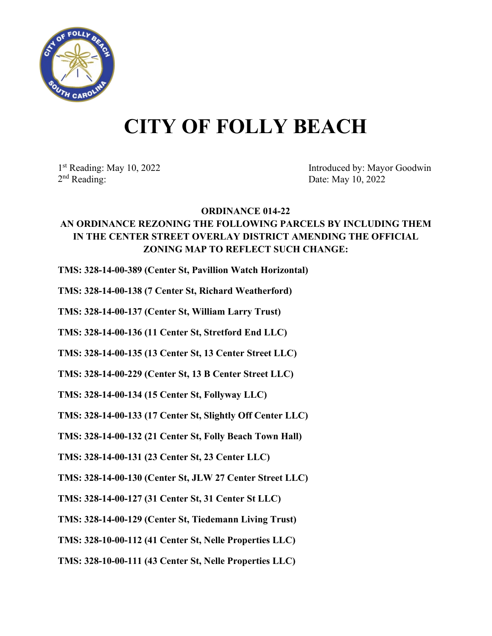

## **CITY OF FOLLY BEACH**

2<sup>nd</sup> Reading: Date: May 10, 2022

1<sup>st</sup> Reading: May 10, 2022 Introduced by: Mayor Goodwin

## **ORDINANCE 014-22**

## **AN ORDINANCE REZONING THE FOLLOWING PARCELS BY INCLUDING THEM IN THE CENTER STREET OVERLAY DISTRICT AMENDING THE OFFICIAL ZONING MAP TO REFLECT SUCH CHANGE:**

**TMS: 328-14-00-389 (Center St, Pavillion Watch Horizontal)**

**TMS: 328-14-00-138 (7 Center St, Richard Weatherford)**

**TMS: 328-14-00-137 (Center St, William Larry Trust)**

**TMS: 328-14-00-136 (11 Center St, Stretford End LLC)**

**TMS: 328-14-00-135 (13 Center St, 13 Center Street LLC)**

**TMS: 328-14-00-229 (Center St, 13 B Center Street LLC)**

**TMS: 328-14-00-134 (15 Center St, Follyway LLC)**

**TMS: 328-14-00-133 (17 Center St, Slightly Off Center LLC)**

**TMS: 328-14-00-132 (21 Center St, Folly Beach Town Hall)**

**TMS: 328-14-00-131 (23 Center St, 23 Center LLC)**

**TMS: 328-14-00-130 (Center St, JLW 27 Center Street LLC)**

**TMS: 328-14-00-127 (31 Center St, 31 Center St LLC)**

**TMS: 328-14-00-129 (Center St, Tiedemann Living Trust)**

**TMS: 328-10-00-112 (41 Center St, Nelle Properties LLC)**

**TMS: 328-10-00-111 (43 Center St, Nelle Properties LLC)**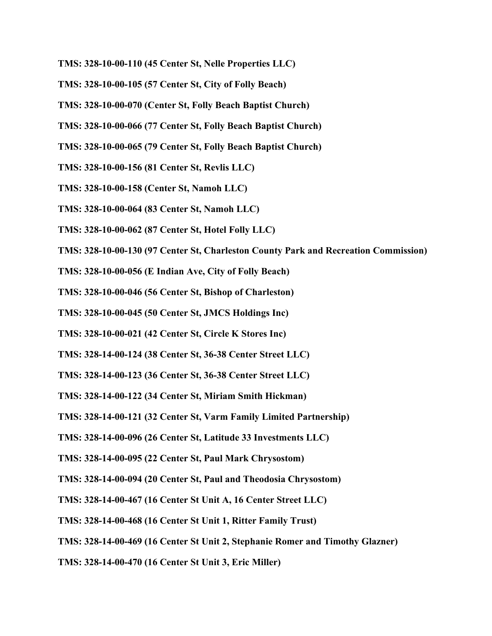- **TMS: 328-10-00-110 (45 Center St, Nelle Properties LLC)**
- **TMS: 328-10-00-105 (57 Center St, City of Folly Beach)**
- **TMS: 328-10-00-070 (Center St, Folly Beach Baptist Church)**
- **TMS: 328-10-00-066 (77 Center St, Folly Beach Baptist Church)**
- **TMS: 328-10-00-065 (79 Center St, Folly Beach Baptist Church)**
- **TMS: 328-10-00-156 (81 Center St, Revlis LLC)**
- **TMS: 328-10-00-158 (Center St, Namoh LLC)**
- **TMS: 328-10-00-064 (83 Center St, Namoh LLC)**
- **TMS: 328-10-00-062 (87 Center St, Hotel Folly LLC)**
- **TMS: 328-10-00-130 (97 Center St, Charleston County Park and Recreation Commission)**
- **TMS: 328-10-00-056 (E Indian Ave, City of Folly Beach)**
- **TMS: 328-10-00-046 (56 Center St, Bishop of Charleston)**
- **TMS: 328-10-00-045 (50 Center St, JMCS Holdings Inc)**
- **TMS: 328-10-00-021 (42 Center St, Circle K Stores Inc)**
- **TMS: 328-14-00-124 (38 Center St, 36-38 Center Street LLC)**
- **TMS: 328-14-00-123 (36 Center St, 36-38 Center Street LLC)**
- **TMS: 328-14-00-122 (34 Center St, Miriam Smith Hickman)**
- **TMS: 328-14-00-121 (32 Center St, Varm Family Limited Partnership)**
- **TMS: 328-14-00-096 (26 Center St, Latitude 33 Investments LLC)**
- **TMS: 328-14-00-095 (22 Center St, Paul Mark Chrysostom)**
- **TMS: 328-14-00-094 (20 Center St, Paul and Theodosia Chrysostom)**
- **TMS: 328-14-00-467 (16 Center St Unit A, 16 Center Street LLC)**
- **TMS: 328-14-00-468 (16 Center St Unit 1, Ritter Family Trust)**
- **TMS: 328-14-00-469 (16 Center St Unit 2, Stephanie Romer and Timothy Glazner)**
- **TMS: 328-14-00-470 (16 Center St Unit 3, Eric Miller)**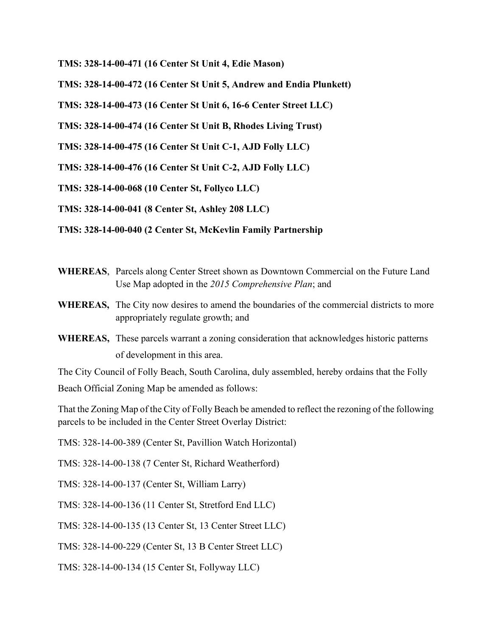**TMS: 328-14-00-471 (16 Center St Unit 4, Edie Mason)** 

**TMS: 328-14-00-472 (16 Center St Unit 5, Andrew and Endia Plunkett)**

**TMS: 328-14-00-473 (16 Center St Unit 6, 16-6 Center Street LLC)**

**TMS: 328-14-00-474 (16 Center St Unit B, Rhodes Living Trust)** 

**TMS: 328-14-00-475 (16 Center St Unit C-1, AJD Folly LLC)** 

**TMS: 328-14-00-476 (16 Center St Unit C-2, AJD Folly LLC)** 

**TMS: 328-14-00-068 (10 Center St, Follyco LLC)** 

**TMS: 328-14-00-041 (8 Center St, Ashley 208 LLC)** 

**TMS: 328-14-00-040 (2 Center St, McKevlin Family Partnership**

- **WHEREAS**, Parcels along Center Street shown as Downtown Commercial on the Future Land Use Map adopted in the *2015 Comprehensive Plan*; and
- **WHEREAS,** The City now desires to amend the boundaries of the commercial districts to more appropriately regulate growth; and
- **WHEREAS,** These parcels warrant a zoning consideration that acknowledges historic patterns of development in this area.

The City Council of Folly Beach, South Carolina, duly assembled, hereby ordains that the Folly Beach Official Zoning Map be amended as follows:

That the Zoning Map of the City of Folly Beach be amended to reflect the rezoning of the following parcels to be included in the Center Street Overlay District:

TMS: 328-14-00-389 (Center St, Pavillion Watch Horizontal)

TMS: 328-14-00-138 (7 Center St, Richard Weatherford)

TMS: 328-14-00-137 (Center St, William Larry)

TMS: 328-14-00-136 (11 Center St, Stretford End LLC)

TMS: 328-14-00-135 (13 Center St, 13 Center Street LLC)

TMS: 328-14-00-229 (Center St, 13 B Center Street LLC)

TMS: 328-14-00-134 (15 Center St, Follyway LLC)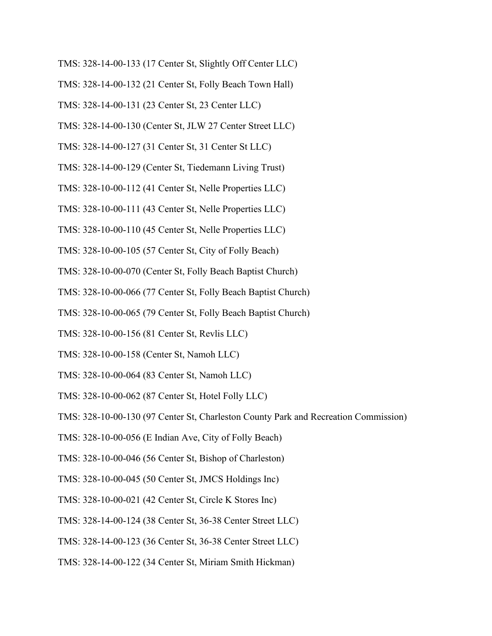- TMS: 328-14-00-133 (17 Center St, Slightly Off Center LLC)
- TMS: 328-14-00-132 (21 Center St, Folly Beach Town Hall)
- TMS: 328-14-00-131 (23 Center St, 23 Center LLC)
- TMS: 328-14-00-130 (Center St, JLW 27 Center Street LLC)
- TMS: 328-14-00-127 (31 Center St, 31 Center St LLC)
- TMS: 328-14-00-129 (Center St, Tiedemann Living Trust)
- TMS: 328-10-00-112 (41 Center St, Nelle Properties LLC)
- TMS: 328-10-00-111 (43 Center St, Nelle Properties LLC)
- TMS: 328-10-00-110 (45 Center St, Nelle Properties LLC)
- TMS: 328-10-00-105 (57 Center St, City of Folly Beach)
- TMS: 328-10-00-070 (Center St, Folly Beach Baptist Church)
- TMS: 328-10-00-066 (77 Center St, Folly Beach Baptist Church)
- TMS: 328-10-00-065 (79 Center St, Folly Beach Baptist Church)
- TMS: 328-10-00-156 (81 Center St, Revlis LLC)
- TMS: 328-10-00-158 (Center St, Namoh LLC)
- TMS: 328-10-00-064 (83 Center St, Namoh LLC)
- TMS: 328-10-00-062 (87 Center St, Hotel Folly LLC)
- TMS: 328-10-00-130 (97 Center St, Charleston County Park and Recreation Commission)
- TMS: 328-10-00-056 (E Indian Ave, City of Folly Beach)
- TMS: 328-10-00-046 (56 Center St, Bishop of Charleston)
- TMS: 328-10-00-045 (50 Center St, JMCS Holdings Inc)
- TMS: 328-10-00-021 (42 Center St, Circle K Stores Inc)
- TMS: 328-14-00-124 (38 Center St, 36-38 Center Street LLC)
- TMS: 328-14-00-123 (36 Center St, 36-38 Center Street LLC)
- TMS: 328-14-00-122 (34 Center St, Miriam Smith Hickman)